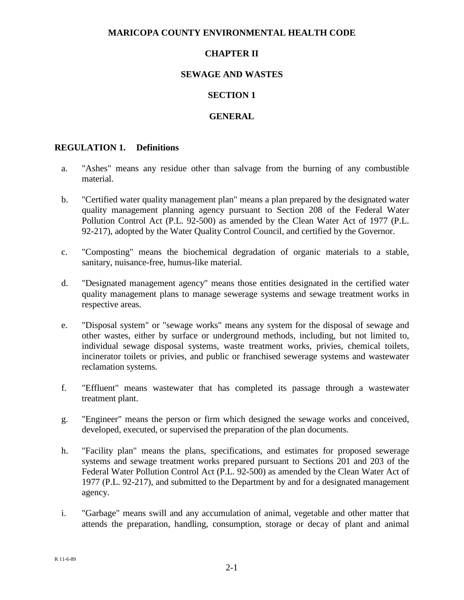### **MARICOPA COUNTY ENVIRONMENTAL HEALTH CODE**

## **CHAPTER II**

## **SEWAGE AND WASTES**

#### **SECTION 1**

#### **GENERAL**

### **REGULATION 1. Definitions**

- a. "Ashes" means any residue other than salvage from the burning of any combustible material.
- b. "Certified water quality management plan" means a plan prepared by the designated water quality management planning agency pursuant to Section 208 of the Federal Water Pollution Control Act (P.L. 92-500) as amended by the Clean Water Act of 1977 (P.L. 92-217), adopted by the Water Quality Control Council, and certified by the Governor.
- c. "Composting" means the biochemical degradation of organic materials to a stable, sanitary, nuisance-free, humus-like material.
- d. "Designated management agency" means those entities designated in the certified water quality management plans to manage sewerage systems and sewage treatment works in respective areas.
- e. "Disposal system" or "sewage works" means any system for the disposal of sewage and other wastes, either by surface or underground methods, including, but not limited to, individual sewage disposal systems, waste treatment works, privies, chemical toilets, incinerator toilets or privies, and public or franchised sewerage systems and wastewater reclamation systems.
- f. "Effluent" means wastewater that has completed its passage through a wastewater treatment plant.
- g. "Engineer" means the person or firm which designed the sewage works and conceived, developed, executed, or supervised the preparation of the plan documents.
- h. "Facility plan" means the plans, specifications, and estimates for proposed sewerage systems and sewage treatment works prepared pursuant to Sections 201 and 203 of the Federal Water Pollution Control Act (P.L. 92-500) as amended by the Clean Water Act of 1977 (P.L. 92-217), and submitted to the Department by and for a designated management agency.
- i. "Garbage" means swill and any accumulation of animal, vegetable and other matter that attends the preparation, handling, consumption, storage or decay of plant and animal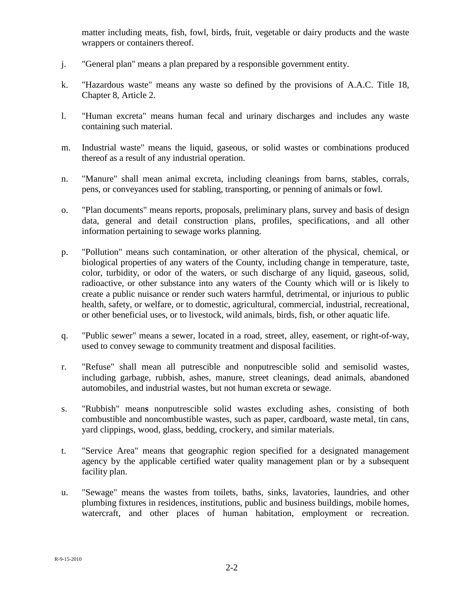matter including meats, fish, fowl, birds, fruit, vegetable or dairy products and the waste wrappers or containers thereof.

- j. "General plan" means a plan prepared by a responsible government entity.
- k. "Hazardous waste" means any waste so defined by the provisions of A.A.C. Title 18, Chapter 8, Article 2.
- l. "Human excreta" means human fecal and urinary discharges and includes any waste containing such material.
- m. Industrial waste" means the liquid, gaseous, or solid wastes or combinations produced thereof as a result of any industrial operation.
- n. "Manure" shall mean animal excreta, including cleanings from barns, stables, corrals, pens, or conveyances used for stabling, transporting, or penning of animals or fowl.
- o. "Plan documents" means reports, proposals, preliminary plans, survey and basis of design data, general and detail construction plans, profiles, specifications, and all other information pertaining to sewage works planning.
- p. "Pollution" means such contamination, or other alteration of the physical, chemical, or biological properties of any waters of the County, including change in temperature, taste, color, turbidity, or odor of the waters, or such discharge of any liquid, gaseous, solid, radioactive, or other substance into any waters of the County which will or is likely to create a public nuisance or render such waters harmful, detrimental, or injurious to public health, safety, or welfare, or to domestic, agricultural, commercial, industrial, recreational, or other beneficial uses, or to livestock, wild animals, birds, fish, or other aquatic life.
- q. "Public sewer" means a sewer, located in a road, street, alley, easement, or right-of-way, used to convey sewage to community treatment and disposal facilities.
- r. "Refuse" shall mean all putrescible and nonputrescible solid and semisolid wastes, including garbage, rubbish, ashes, manure, street cleanings, dead animals, abandoned automobiles, and industrial wastes, but not human excreta or sewage.
- s. "Rubbish" mean**s** nonputrescible solid wastes excluding ashes, consisting of both combustible and noncombustible wastes, such as paper, cardboard, waste metal, tin cans, yard clippings, wood, glass, bedding, crockery, and similar materials.
- t. "Service Area" means that geographic region specified for a designated management agency by the applicable certified water quality management plan or by a subsequent facility plan.
- u. "Sewage" means the wastes from toilets, baths, sinks, lavatories, laundries, and other plumbing fixtures in residences, institutions, public and business buildings, mobile homes, watercraft, and other places of human habitation, employment or recreation.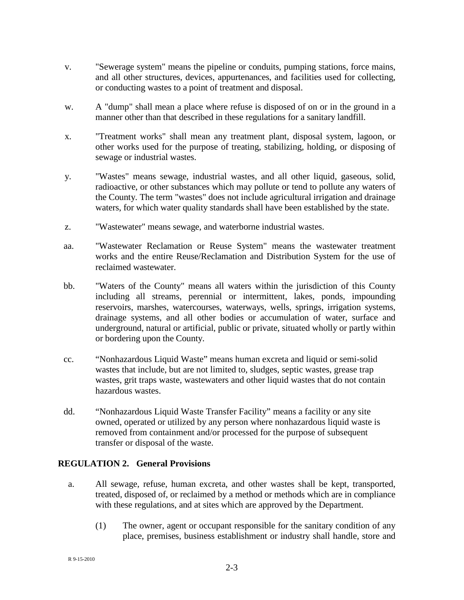- v. "Sewerage system" means the pipeline or conduits, pumping stations, force mains, and all other structures, devices, appurtenances, and facilities used for collecting, or conducting wastes to a point of treatment and disposal.
- w. A "dump" shall mean a place where refuse is disposed of on or in the ground in a manner other than that described in these regulations for a sanitary landfill.
- x. "Treatment works" shall mean any treatment plant, disposal system, lagoon, or other works used for the purpose of treating, stabilizing, holding, or disposing of sewage or industrial wastes.
- y. "Wastes" means sewage, industrial wastes, and all other liquid, gaseous, solid, radioactive, or other substances which may pollute or tend to pollute any waters of the County. The term "wastes" does not include agricultural irrigation and drainage waters, for which water quality standards shall have been established by the state.
- z. "Wastewater" means sewage, and waterborne industrial wastes.
- aa. "Wastewater Reclamation or Reuse System" means the wastewater treatment works and the entire Reuse/Reclamation and Distribution System for the use of reclaimed wastewater.
- bb. "Waters of the County" means all waters within the jurisdiction of this County including all streams, perennial or intermittent, lakes, ponds, impounding reservoirs, marshes, watercourses, waterways, wells, springs, irrigation systems, drainage systems, and all other bodies or accumulation of water, surface and underground, natural or artificial, public or private, situated wholly or partly within or bordering upon the County.
- cc. "Nonhazardous Liquid Waste" means human excreta and liquid or semi-solid wastes that include, but are not limited to, sludges, septic wastes, grease trap wastes, grit traps waste, wastewaters and other liquid wastes that do not contain hazardous wastes.
- dd. "Nonhazardous Liquid Waste Transfer Facility" means a facility or any site owned, operated or utilized by any person where nonhazardous liquid waste is removed from containment and/or processed for the purpose of subsequent transfer or disposal of the waste.

## **REGULATION 2. General Provisions**

- a. All sewage, refuse, human excreta, and other wastes shall be kept, transported, treated, disposed of, or reclaimed by a method or methods which are in compliance with these regulations, and at sites which are approved by the Department.
	- (1) The owner, agent or occupant responsible for the sanitary condition of any place, premises, business establishment or industry shall handle, store and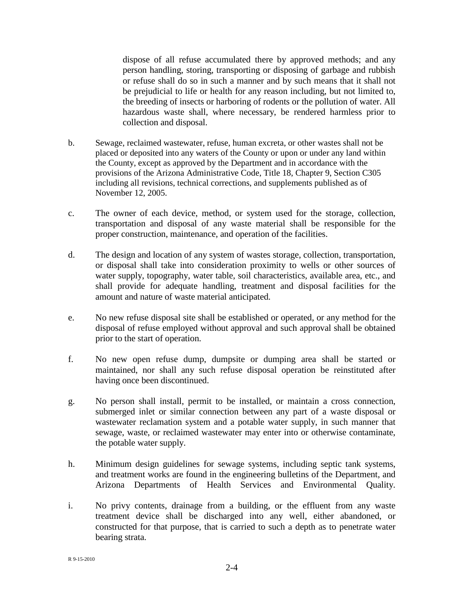dispose of all refuse accumulated there by approved methods; and any person handling, storing, transporting or disposing of garbage and rubbish or refuse shall do so in such a manner and by such means that it shall not be prejudicial to life or health for any reason including, but not limited to, the breeding of insects or harboring of rodents or the pollution of water. All hazardous waste shall, where necessary, be rendered harmless prior to collection and disposal.

- b. Sewage, reclaimed wastewater, refuse, human excreta, or other wastes shall not be placed or deposited into any waters of the County or upon or under any land within the County, except as approved by the Department and in accordance with the provisions of the Arizona Administrative Code, Title 18, Chapter 9, Section C305 including all revisions, technical corrections, and supplements published as of November 12, 2005.
- c. The owner of each device, method, or system used for the storage, collection, transportation and disposal of any waste material shall be responsible for the proper construction, maintenance, and operation of the facilities.
- d. The design and location of any system of wastes storage, collection, transportation, or disposal shall take into consideration proximity to wells or other sources of water supply, topography, water table, soil characteristics, available area, etc., and shall provide for adequate handling, treatment and disposal facilities for the amount and nature of waste material anticipated.
- e. No new refuse disposal site shall be established or operated, or any method for the disposal of refuse employed without approval and such approval shall be obtained prior to the start of operation.
- f. No new open refuse dump, dumpsite or dumping area shall be started or maintained, nor shall any such refuse disposal operation be reinstituted after having once been discontinued.
- g. No person shall install, permit to be installed, or maintain a cross connection, submerged inlet or similar connection between any part of a waste disposal or wastewater reclamation system and a potable water supply, in such manner that sewage, waste, or reclaimed wastewater may enter into or otherwise contaminate, the potable water supply.
- h. Minimum design guidelines for sewage systems, including septic tank systems, and treatment works are found in the engineering bulletins of the Department, and Arizona Departments of Health Services and Environmental Quality.
- i. No privy contents, drainage from a building, or the effluent from any waste treatment device shall be discharged into any well, either abandoned, or constructed for that purpose, that is carried to such a depth as to penetrate water bearing strata.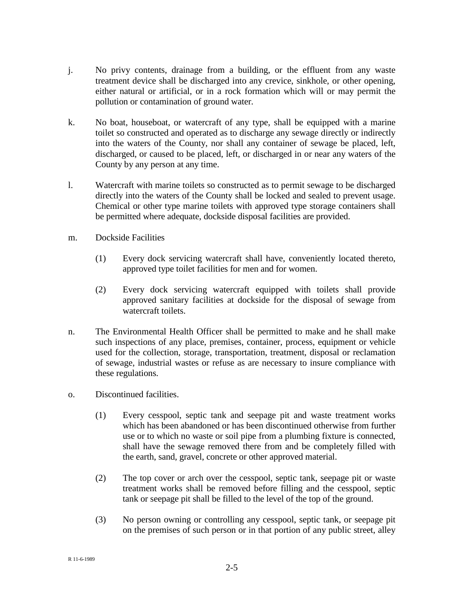- j. No privy contents, drainage from a building, or the effluent from any waste treatment device shall be discharged into any crevice, sinkhole, or other opening, either natural or artificial, or in a rock formation which will or may permit the pollution or contamination of ground water.
- k. No boat, houseboat, or watercraft of any type, shall be equipped with a marine toilet so constructed and operated as to discharge any sewage directly or indirectly into the waters of the County, nor shall any container of sewage be placed, left, discharged, or caused to be placed, left, or discharged in or near any waters of the County by any person at any time.
- l. Watercraft with marine toilets so constructed as to permit sewage to be discharged directly into the waters of the County shall be locked and sealed to prevent usage. Chemical or other type marine toilets with approved type storage containers shall be permitted where adequate, dockside disposal facilities are provided.
- m. Dockside Facilities
	- (1) Every dock servicing watercraft shall have, conveniently located thereto, approved type toilet facilities for men and for women.
	- (2) Every dock servicing watercraft equipped with toilets shall provide approved sanitary facilities at dockside for the disposal of sewage from watercraft toilets.
- n. The Environmental Health Officer shall be permitted to make and he shall make such inspections of any place, premises, container, process, equipment or vehicle used for the collection, storage, transportation, treatment, disposal or reclamation of sewage, industrial wastes or refuse as are necessary to insure compliance with these regulations.
- o. Discontinued facilities.
	- (1) Every cesspool, septic tank and seepage pit and waste treatment works which has been abandoned or has been discontinued otherwise from further use or to which no waste or soil pipe from a plumbing fixture is connected, shall have the sewage removed there from and be completely filled with the earth, sand, gravel, concrete or other approved material.
	- (2) The top cover or arch over the cesspool, septic tank, seepage pit or waste treatment works shall be removed before filling and the cesspool, septic tank or seepage pit shall be filled to the level of the top of the ground.
	- (3) No person owning or controlling any cesspool, septic tank, or seepage pit on the premises of such person or in that portion of any public street, alley